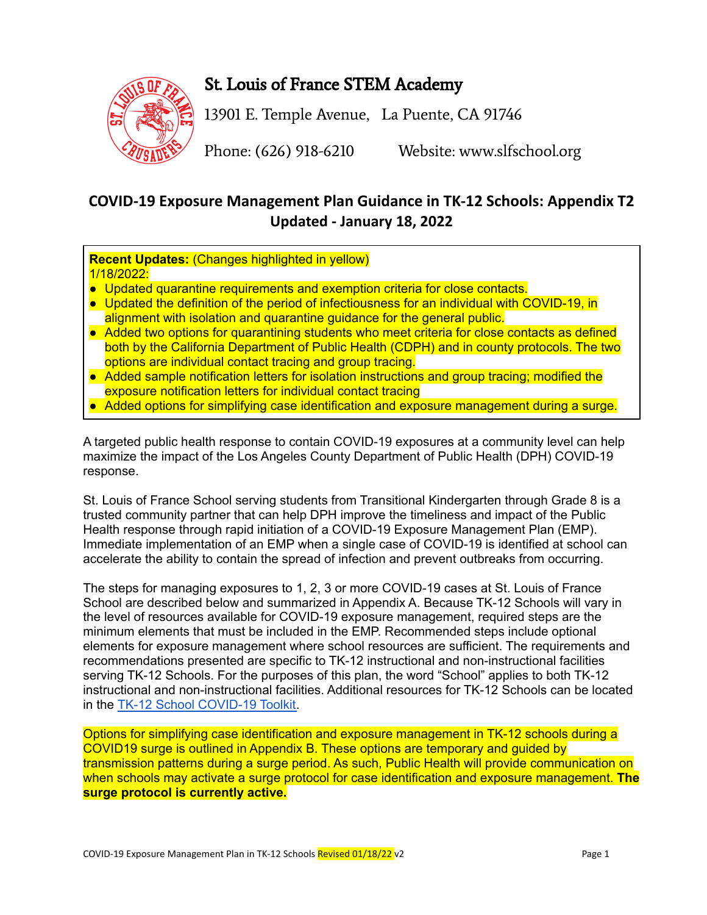

# St. Louis of France STEM Academy

13901 E. Temple Avenue, La Puente, CA 91746

Phone: (626) 918-6210 Website: www.slfschool.org

## **COVID-19 Exposure Management Plan Guidance in TK-12 Schools: Appendix T2 Updated - January 18, 2022**

**Recent Updates:** (Changes highlighted in yellow) 1/18/2022:

- Updated quarantine requirements and exemption criteria for close contacts.
- Updated the definition of the period of infectiousness for an individual with COVID-19, in alignment with isolation and quarantine guidance for the general public.
- Added two options for quarantining students who meet criteria for close contacts as defined both by the California Department of Public Health (CDPH) and in county protocols. The two options are individual contact tracing and group tracing.
- Added sample notification letters for isolation instructions and group tracing; modified the exposure notification letters for individual contact tracing
- Added options for simplifying case identification and exposure management during a surge.

A targeted public health response to contain COVID-19 exposures at a community level can help maximize the impact of the Los Angeles County Department of Public Health (DPH) COVID-19 response.

St. Louis of France School serving students from Transitional Kindergarten through Grade 8 is a trusted community partner that can help DPH improve the timeliness and impact of the Public Health response through rapid initiation of a COVID-19 Exposure Management Plan (EMP). Immediate implementation of an EMP when a single case of COVID-19 is identified at school can accelerate the ability to contain the spread of infection and prevent outbreaks from occurring.

The steps for managing exposures to 1, 2, 3 or more COVID-19 cases at St. Louis of France School are described below and summarized in Appendix A. Because TK-12 Schools will vary in the level of resources available for COVID-19 exposure management, required steps are the minimum elements that must be included in the EMP. Recommended steps include optional elements for exposure management where school resources are sufficient. The requirements and recommendations presented are specific to TK-12 instructional and non-instructional facilities serving TK-12 Schools. For the purposes of this plan, the word "School" applies to both TK-12 instructional and non-instructional facilities. Additional resources for TK-12 Schools can be located in the TK-12 School [COVID-19](http://ph.lacounty.gov/acd/ncorona2019/EducationToolkit/TK12/) Toolkit.

Options for simplifying case identification and exposure management in TK-12 schools during a COVID19 surge is outlined in Appendix B. These options are temporary and guided by transmission patterns during a surge period. As such, Public Health will provide communication on when schools may activate a surge protocol for case identification and exposure management. **The surge protocol is currently active.**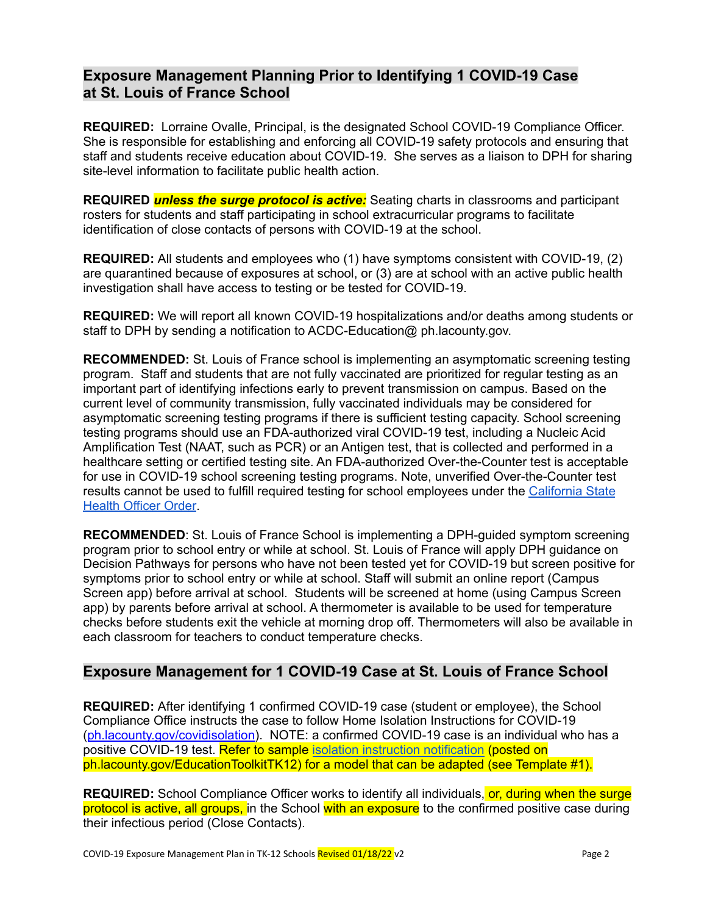### **Exposure Management Planning Prior to Identifying 1 COVID-19 Case at St. Louis of France School**

**REQUIRED:** Lorraine Ovalle, Principal, is the designated School COVID-19 Compliance Officer. She is responsible for establishing and enforcing all COVID-19 safety protocols and ensuring that staff and students receive education about COVID-19. She serves as a liaison to DPH for sharing site-level information to facilitate public health action.

**REQUIRED** *unless the surge protocol is active:* Seating charts in classrooms and participant rosters for students and staff participating in school extracurricular programs to facilitate identification of close contacts of persons with COVID-19 at the school.

**REQUIRED:** All students and employees who (1) have symptoms consistent with COVID-19, (2) are quarantined because of exposures at school, or (3) are at school with an active public health investigation shall have access to testing or be tested for COVID-19.

**REQUIRED:** We will report all known COVID-19 hospitalizations and/or deaths among students or staff to DPH by sending a notification to ACDC-Education@ ph.lacounty.gov.

**RECOMMENDED:** St. Louis of France school is implementing an asymptomatic screening testing program. Staff and students that are not fully vaccinated are prioritized for regular testing as an important part of identifying infections early to prevent transmission on campus. Based on the current level of community transmission, fully vaccinated individuals may be considered for asymptomatic screening testing programs if there is sufficient testing capacity. School screening testing programs should use an FDA-authorized viral COVID-19 test, including a Nucleic Acid Amplification Test (NAAT, such as PCR) or an Antigen test, that is collected and performed in a healthcare setting or certified testing site. An FDA-authorized Over-the-Counter test is acceptable for use in COVID-19 school screening testing programs. Note, unverified Over-the-Counter test results cannot be used to fulfill required testing for school employees under the [California](https://www.cdph.ca.gov/Programs/CID/DCDC/Pages/COVID-19/Order-of-the-State-Public-Health-Officer-Vaccine-Verification-for-Workers-in-Schools.aspx) State Health [Officer](https://www.cdph.ca.gov/Programs/CID/DCDC/Pages/COVID-19/Order-of-the-State-Public-Health-Officer-Vaccine-Verification-for-Workers-in-Schools.aspx) Order.

**RECOMMENDED**: St. Louis of France School is implementing a DPH-guided symptom screening program prior to school entry or while at school. St. Louis of France will apply DPH guidance on Decision Pathways for persons who have not been tested yet for COVID-19 but screen positive for symptoms prior to school entry or while at school. Staff will submit an online report (Campus Screen app) before arrival at school. Students will be screened at home (using Campus Screen app) by parents before arrival at school. A thermometer is available to be used for temperature checks before students exit the vehicle at morning drop off. Thermometers will also be available in each classroom for teachers to conduct temperature checks.

### **Exposure Management for 1 COVID-19 Case at St. Louis of France School**

**REQUIRED:** After identifying 1 confirmed COVID-19 case (student or employee), the School Compliance Office instructs the case to follow Home Isolation Instructions for COVID-19 (ph.lacounty.gov/covidisolation). NOTE: a confirmed COVID-19 case is an individual who has a positive COVID-19 test. Refer to sample isolation instruction [notification](http://ph.lacounty.gov/acd/ncorona2019/EducationToolkit/tk12/) (posted on ph.lacounty.gov/EducationToolkitTK12) for a model that can be adapted (see Template #1).

**REQUIRED:** School Compliance Officer works to identify all individuals, or, during when the surge protocol is active, all groups, in the School with an exposure to the confirmed positive case during their infectious period (Close Contacts).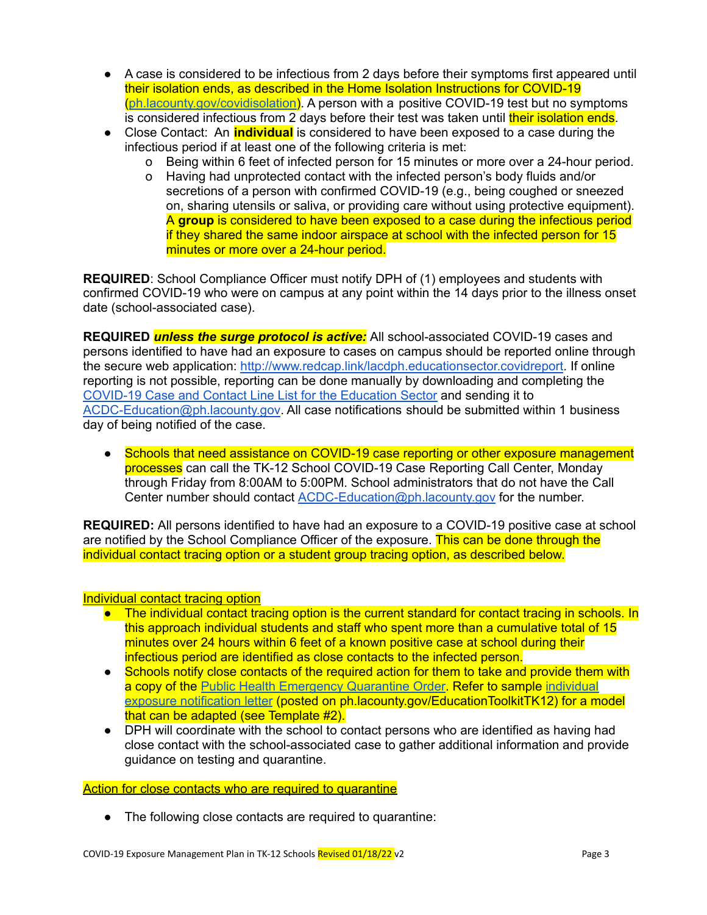- A case is considered to be infectious from 2 days before their symptoms first appeared until their isolation ends, as described in the Home Isolation Instructions for COVID-19 ([ph.lacounty.gov/covidisolation\)](http://publichealth.lacounty.gov/acd/ncorona2019/covidisolation/). A person with a positive COVID-19 test but no symptoms is considered infectious from 2 days before their test was taken until their isolation ends.
- Close Contact: An **individual** is considered to have been exposed to a case during the infectious period if at least one of the following criteria is met:
	- o Being within 6 feet of infected person for 15 minutes or more over a 24-hour period.
	- o Having had unprotected contact with the infected person's body fluids and/or secretions of a person with confirmed COVID-19 (e.g., being coughed or sneezed on, sharing utensils or saliva, or providing care without using protective equipment). A **group** is considered to have been exposed to a case during the infectious period if they shared the same indoor airspace at school with the infected person for 15 minutes or more over a 24-hour period.

**REQUIRED**: School Compliance Officer must notify DPH of (1) employees and students with confirmed COVID-19 who were on campus at any point within the 14 days prior to the illness onset date (school-associated case).

**REQUIRED** *unless the surge protocol is active:* All school-associated COVID-19 cases and persons identified to have had an exposure to cases on campus should be reported online through the secure web application: <http://www.redcap.link/lacdph.educationsector.covidreport>. If online reporting is not possible, reporting can be done manually by downloading and completing the [COVID-19](http://publichealth.lacounty.gov/acd/diseases/epiforms/covid_oblinelist_education_sector.xlsm) Case and Contact Line List for the Education Sector and sending it to [ACDC-Education@ph.lacounty.gov](mailto:ACDC-Education@ph.lacounty.gov). All case notifications should be submitted within 1 business day of being notified of the case.

● Schools that need assistance on COVID-19 case reporting or other exposure management processes can call the TK-12 School COVID-19 Case Reporting Call Center, Monday through Friday from 8:00AM to 5:00PM. School administrators that do not have the Call Center number should contact [ACDC-Education@ph.lacounty.gov](mailto:ACDC-Education@ph.lacounty.gov) for the number.

**REQUIRED:** All persons identified to have had an exposure to a COVID-19 positive case at school are notified by the School Compliance Officer of the exposure. This can be done through the individual contact tracing option or a student group tracing option, as described below.

#### Individual contact tracing option

- The individual contact tracing option is the current standard for contact tracing in schools. In this approach individual students and staff who spent more than a cumulative total of 15 minutes over 24 hours within 6 feet of a known positive case at school during their infectious period are identified as close contacts to the infected person.
- Schools notify close contacts of the required action for them to take and provide them with a copy of the Public Health [Emergency](http://publichealth.lacounty.gov/media/coronavirus/docs/HOO/HOO_Coronavirus_Blanket_Quarantine.pdf) Quarantine Order. Refer to sample [individual](http://ph.lacounty.gov/acd/ncorona2019/EducationToolkit/tk12/) exposure [notification](http://ph.lacounty.gov/acd/ncorona2019/EducationToolkit/tk12/) letter (posted on ph.lacounty.gov/EducationToolkitTK12) for a model that can be adapted (see Template #2).
- DPH will coordinate with the school to contact persons who are identified as having had close contact with the school-associated case to gather additional information and provide guidance on testing and quarantine.

Action for close contacts who are required to quarantine

• The following close contacts are required to quarantine: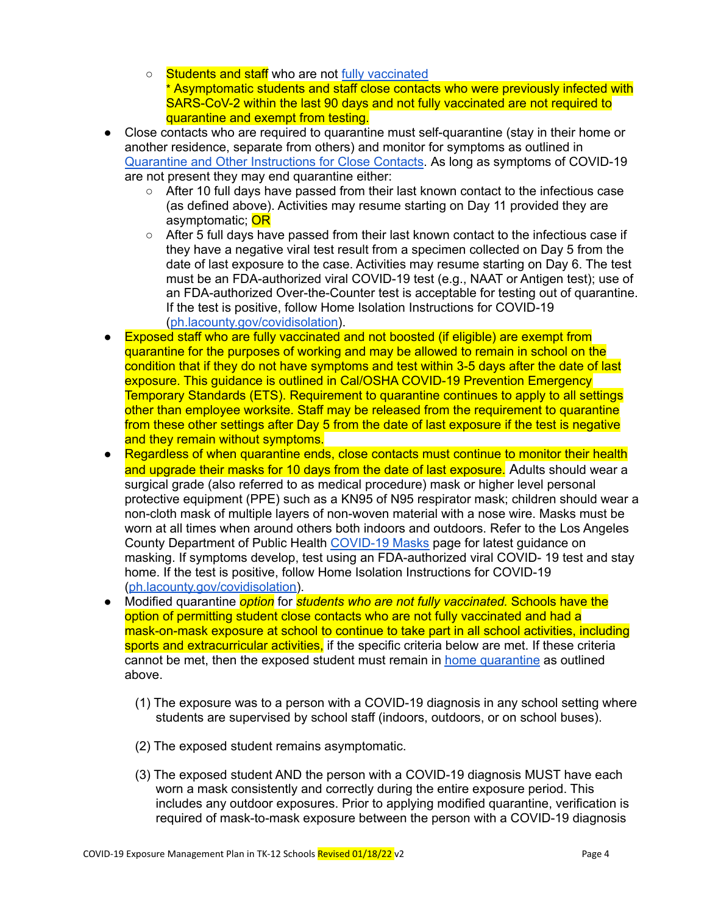- Students and staff who are not fully [vaccinated](http://publichealth.lacounty.gov/acd/ncorona2019/vaccine/fullyvaccinated/) \* Asymptomatic students and staff close contacts who were previously infected with SARS-CoV-2 within the last 90 days and not fully vaccinated are not required to quarantine and exempt from testing.
- Close contacts who are required to quarantine must self-quarantine (stay in their home or another residence, separate from others) and monitor for symptoms as outlined in Quarantine and Other [Instructions](http://publichealth.lacounty.gov/acd/ncorona2019/covidquarantine/) for Close Contacts. As long as symptoms of COVID-19 are not present they may end quarantine either:
	- After 10 full days have passed from their last known contact to the infectious case (as defined above). Activities may resume starting on Day 11 provided they are asymptomatic; **OR**
	- After 5 full days have passed from their last known contact to the infectious case if they have a negative viral test result from a specimen collected on Day 5 from the date of last exposure to the case. Activities may resume starting on Day 6. The test must be an FDA-authorized viral COVID-19 test (e.g., NAAT or Antigen test); use of an FDA-authorized Over-the-Counter test is acceptable for testing out of quarantine. If the test is positive, follow Home Isolation Instructions for COVID-19 ([ph.lacounty.gov/covidisolation\)](http://publichealth.lacounty.gov/acd/ncorona2019/covidisolation/).
- Exposed staff who are fully vaccinated and not boosted (if eligible) are exempt from quarantine for the purposes of working and may be allowed to remain in school on the condition that if they do not have symptoms and test within 3-5 days after the date of last exposure. This guidance is outlined in Cal/OSHA COVID-19 Prevention Emergency Temporary Standards (ETS). Requirement to quarantine continues to apply to all settings other than employee worksite. Staff may be released from the requirement to quarantine from these other settings after Day 5 from the date of last exposure if the test is negative and they remain without symptoms.
- Regardless of when quarantine ends, close contacts must continue to monitor their health and upgrade their masks for 10 days from the date of last exposure. Adults should wear a surgical grade (also referred to as medical procedure) mask or higher level personal protective equipment (PPE) such as a KN95 of N95 respirator mask; children should wear a non-cloth mask of multiple layers of non-woven material with a nose wire. Masks must be worn at all times when around others both indoors and outdoors. Refer to the Los Angeles County Department of Public Health [COVID-19](http://publichealth.lacounty.gov/acd/ncorona2019/masks/) Masks page for latest guidance on masking. If symptoms develop, test using an FDA-authorized viral COVID- 19 test and stay home. If the test is positive, follow Home Isolation Instructions for COVID-19 ([ph.lacounty.gov/covidisolation\)](http://publichealth.lacounty.gov/acd/ncorona2019/PPE.htm).
- Modified quarantine *option* for *students who are not fully vaccinated.* Schools have the option of permitting student close contacts who are not fully vaccinated and had a mask-on-mask exposure at school to continue to take part in all school activities, including sports and extracurricular activities, if the specific criteria below are met. If these criteria cannot be met, then the exposed student must remain in home [quarantine](http://publichealth.lacounty.gov/acd/ncorona2019/covidquarantine/) as outlined above.
	- (1) The exposure was to a person with a COVID-19 diagnosis in any school setting where students are supervised by school staff (indoors, outdoors, or on school buses).
	- (2) The exposed student remains asymptomatic.
	- (3) The exposed student AND the person with a COVID-19 diagnosis MUST have each worn a mask consistently and correctly during the entire exposure period. This includes any outdoor exposures. Prior to applying modified quarantine, verification is required of mask-to-mask exposure between the person with a COVID-19 diagnosis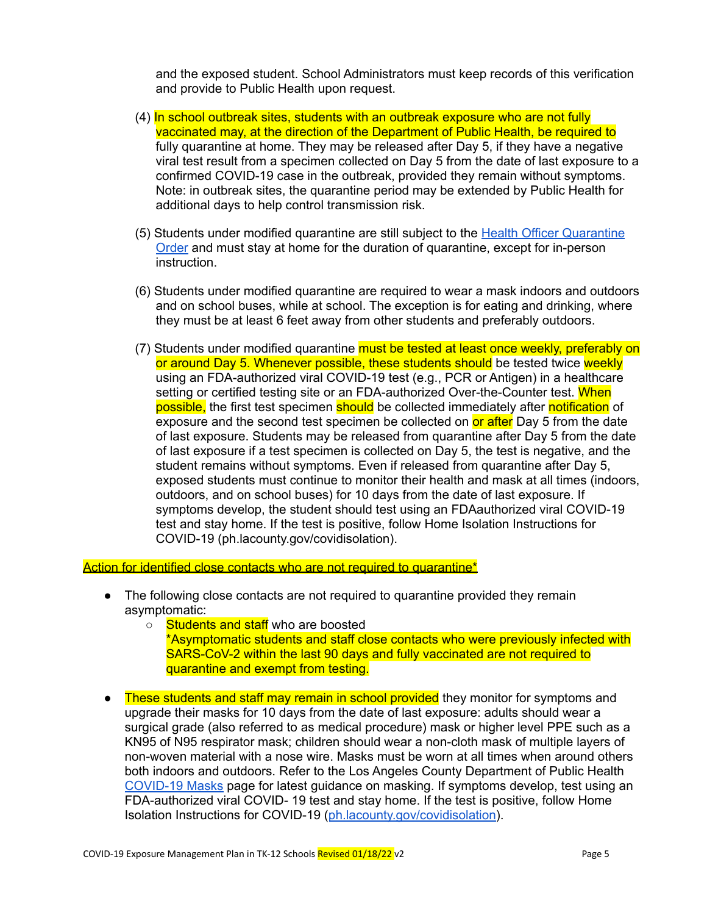and the exposed student. School Administrators must keep records of this verification and provide to Public Health upon request.

- (4) In school outbreak sites, students with an outbreak exposure who are not fully vaccinated may, at the direction of the Department of Public Health, be required to fully quarantine at home. They may be released after Day 5, if they have a negative viral test result from a specimen collected on Day 5 from the date of last exposure to a confirmed COVID-19 case in the outbreak, provided they remain without symptoms. Note: in outbreak sites, the quarantine period may be extended by Public Health for additional days to help control transmission risk.
- (5) Students under modified quarantine are still subject to the Health Officer [Quarantine](http://publichealth.lacounty.gov/media/Coronavirus/docs/HOO/HOO_Coronavirus_Blanket_Quarantine.pdf) [Order](http://publichealth.lacounty.gov/media/Coronavirus/docs/HOO/HOO_Coronavirus_Blanket_Quarantine.pdf) and must stay at home for the duration of quarantine, except for in-person instruction.
- (6) Students under modified quarantine are required to wear a mask indoors and outdoors and on school buses, while at school. The exception is for eating and drinking, where they must be at least 6 feet away from other students and preferably outdoors.
- (7) Students under modified quarantine must be tested at least once weekly, preferably on or around Day 5. Whenever possible, these students should be tested twice weekly using an FDA-authorized viral COVID-19 test (e.g., PCR or Antigen) in a healthcare setting or certified testing site or an FDA-authorized Over-the-Counter test. When possible, the first test specimen should be collected immediately after notification of exposure and the second test specimen be collected on or after Day 5 from the date of last exposure. Students may be released from quarantine after Day 5 from the date of last exposure if a test specimen is collected on Day 5, the test is negative, and the student remains without symptoms. Even if released from quarantine after Day 5, exposed students must continue to monitor their health and mask at all times (indoors, outdoors, and on school buses) for 10 days from the date of last exposure. If symptoms develop, the student should test using an FDAauthorized viral COVID-19 test and stay home. If the test is positive, follow Home Isolation Instructions for COVID-19 (ph.lacounty.gov/covidisolation).

Action for identified close contacts who are not required to quarantine\*

- The following close contacts are not required to quarantine provided they remain asymptomatic:
	- Students and staff who are boosted
		- \*Asymptomatic students and staff close contacts who were previously infected with SARS-CoV-2 within the last 90 days and fully vaccinated are not required to quarantine and exempt from testing.
- These students and staff may remain in school provided they monitor for symptoms and upgrade their masks for 10 days from the date of last exposure: adults should wear a surgical grade (also referred to as medical procedure) mask or higher level PPE such as a KN95 of N95 respirator mask; children should wear a non-cloth mask of multiple layers of non-woven material with a nose wire. Masks must be worn at all times when around others both indoors and outdoors. Refer to the Los Angeles County Department of Public Health [COVID-19](http://publichealth.lacounty.gov/acd/ncorona2019/masks/) Masks page for latest guidance on masking. If symptoms develop, test using an FDA-authorized viral COVID- 19 test and stay home. If the test is positive, follow Home Isolation Instructions for COVID-19 ([ph.lacounty.gov/covidisolation\)](http://publichealth.lacounty.gov/acd/ncorona2019/PPE.htm).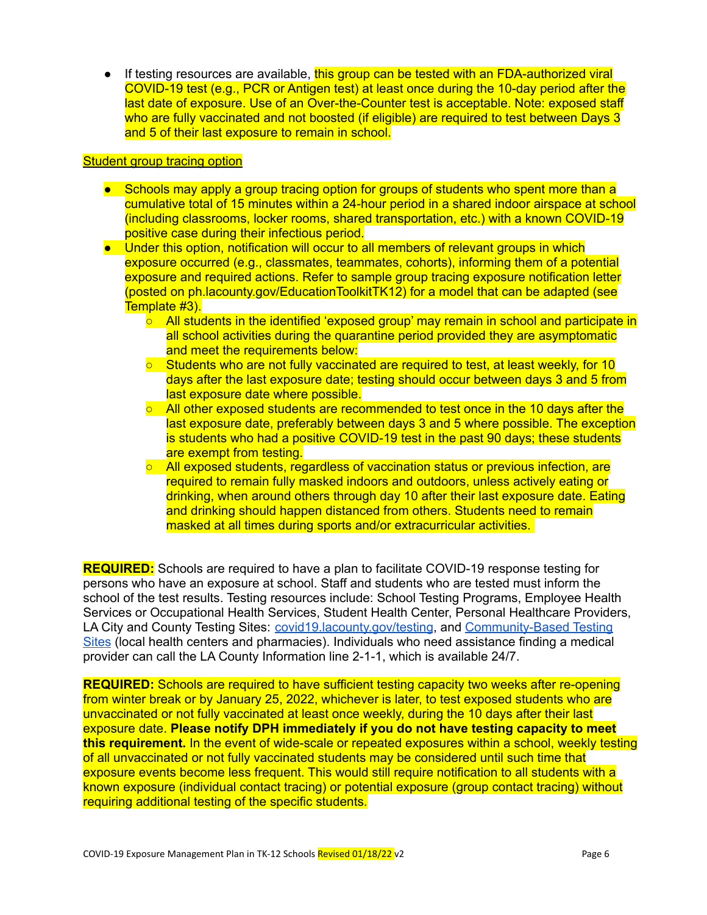If testing resources are available, this group can be tested with an FDA-authorized viral COVID-19 test (e.g., PCR or Antigen test) at least once during the 10-day period after the last date of exposure. Use of an Over-the-Counter test is acceptable. Note: exposed staff who are fully vaccinated and not boosted (if eligible) are required to test between Days 3 and 5 of their last exposure to remain in school.

#### Student group tracing option

- Schools may apply a group tracing option for groups of students who spent more than a cumulative total of 15 minutes within a 24-hour period in a shared indoor airspace at school (including classrooms, locker rooms, shared transportation, etc.) with a known COVID-19 positive case during their infectious period.
- Under this option, notification will occur to all members of relevant groups in which exposure occurred (e.g., classmates, teammates, cohorts), informing them of a potential exposure and required actions. Refer to sample group tracing exposure notification letter (posted on ph.lacounty.gov/EducationToolkitTK12) for a model that can be adapted (see Template #3).
	- All students in the identified 'exposed group' may remain in school and participate in all school activities during the quarantine period provided they are asymptomatic and meet the requirements below:
	- Students who are not fully vaccinated are required to test, at least weekly, for 10 days after the last exposure date; testing should occur between days 3 and 5 from last exposure date where possible.
	- All other exposed students are recommended to test once in the 10 days after the last exposure date, preferably between days 3 and 5 where possible. The exception is students who had a positive COVID-19 test in the past 90 days; these students are exempt from testing.
	- All exposed students, regardless of vaccination status or previous infection, are required to remain fully masked indoors and outdoors, unless actively eating or drinking, when around others through day 10 after their last exposure date. Eating and drinking should happen distanced from others. Students need to remain masked at all times during sports and/or extracurricular activities.

**REQUIRED:** Schools are required to have a plan to facilitate COVID-19 response testing for persons who have an exposure at school. Staff and students who are tested must inform the school of the test results. Testing resources include: School Testing Programs, Employee Health Services or Occupational Health Services, Student Health Center, Personal Healthcare Providers, LA City and County Testing Sites: [covid19.lacounty.gov/testing](https://covid19.lacounty.gov/testing/), and [Community-Based](https://www.hhs.gov/coronavirus/community-based-testing-sites/index.html) Testing [Sites](https://www.hhs.gov/coronavirus/community-based-testing-sites/index.html) (local health centers and pharmacies). Individuals who need assistance finding a medical provider can call the LA County Information line 2-1-1, which is available 24/7.

**REQUIRED:** Schools are required to have sufficient testing capacity two weeks after re-opening from winter break or by January 25, 2022, whichever is later, to test exposed students who are unvaccinated or not fully vaccinated at least once weekly, during the 10 days after their last exposure date. **Please notify DPH immediately if you do not have testing capacity to meet this requirement.** In the event of wide-scale or repeated exposures within a school, weekly testing of all unvaccinated or not fully vaccinated students may be considered until such time that exposure events become less frequent. This would still require notification to all students with a known exposure (individual contact tracing) or potential exposure (group contact tracing) without requiring additional testing of the specific students.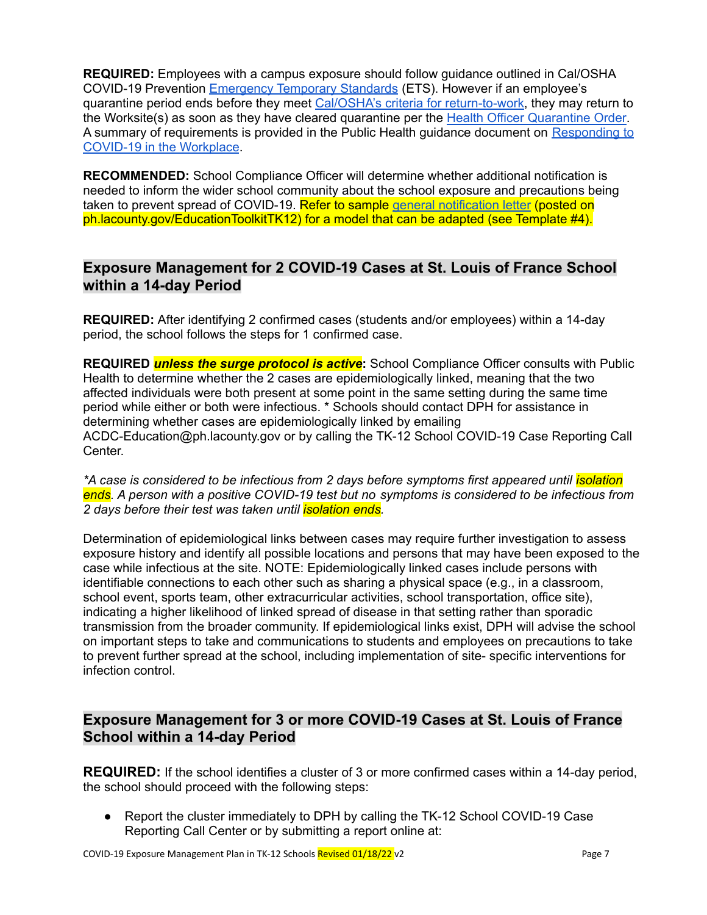**REQUIRED:** Employees with a campus exposure should follow guidance outlined in Cal/OSHA COVID-19 Prevention [Emergency](https://www.dir.ca.gov/dosh/coronavirus/ETS.html) Temporary Standards (ETS). However if an employee's quarantine period ends before they meet Cal/OSHA's criteria for [return-to-work](https://dir.ca.gov/dosh/coronavirus/ETS-FAQ2_01.24.2022-AF.pdf#outbreaks), they may return to the Worksite(s) as soon as they have cleared quarantine per the Health Officer [Quarantine](http://publichealth.lacounty.gov/media/coronavirus/docs/HOO/HOO_Coronavirus_Blanket_Quarantine.pdf) Order. A summary of requirements is provided in the Public Health guidance document on [Responding](http://publichealth.lacounty.gov/acd/ncorona2019/workplaceresponse/) to COVID-19 in the [Workplace](http://publichealth.lacounty.gov/acd/ncorona2019/workplaceresponse/).

**RECOMMENDED:** School Compliance Officer will determine whether additional notification is needed to inform the wider school community about the school exposure and precautions being taken to prevent spread of COVID-19. Refer to sample general [notification](http://ph.lacounty.gov/acd/ncorona2019/EducationToolkit/tk12/) letter (posted on ph.lacounty.gov/EducationToolkitTK12) for a model that can be adapted (see Template #4).

### **Exposure Management for 2 COVID-19 Cases at St. Louis of France School within a 14-day Period**

**REQUIRED:** After identifying 2 confirmed cases (students and/or employees) within a 14-day period, the school follows the steps for 1 confirmed case.

**REQUIRED** *unless the surge protocol is active***:** School Compliance Officer consults with Public Health to determine whether the 2 cases are epidemiologically linked, meaning that the two affected individuals were both present at some point in the same setting during the same time period while either or both were infectious. \* Schools should contact DPH for assistance in determining whether cases are epidemiologically linked by emailing ACDC-Education@ph.lacounty.gov or by calling the TK-12 School COVID-19 Case Reporting Call Center.

*\*A case is considered to be infectious from 2 days before symptoms first appeared until isolation ends. A person with a positive COVID-19 test but no symptoms is considered to be infectious from 2 days before their test was taken until isolation ends.*

Determination of epidemiological links between cases may require further investigation to assess exposure history and identify all possible locations and persons that may have been exposed to the case while infectious at the site. NOTE: Epidemiologically linked cases include persons with identifiable connections to each other such as sharing a physical space (e.g., in a classroom, school event, sports team, other extracurricular activities, school transportation, office site), indicating a higher likelihood of linked spread of disease in that setting rather than sporadic transmission from the broader community. If epidemiological links exist, DPH will advise the school on important steps to take and communications to students and employees on precautions to take to prevent further spread at the school, including implementation of site- specific interventions for infection control.

### **Exposure Management for 3 or more COVID-19 Cases at St. Louis of France School within a 14-day Period**

**REQUIRED:** If the school identifies a cluster of 3 or more confirmed cases within a 14-day period, the school should proceed with the following steps:

● Report the cluster immediately to DPH by calling the TK-12 School COVID-19 Case Reporting Call Center or by submitting a report online at: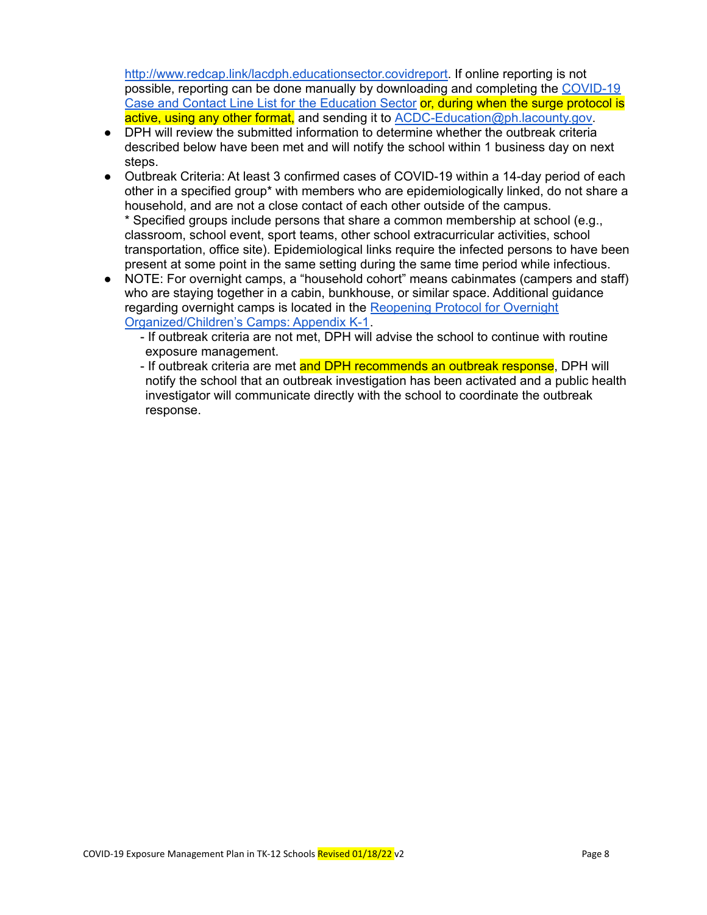[http://www.redcap.link/lacdph.educationsector.covidreport.](http://www.redcap.link/lacdph.educationsector.covidreport) If online reporting is not possible, reporting can be done manually by downloading and completing the [COVID-19](http://publichealth.lacounty.gov/acd/Diseases/EpiForms/COVID_OBlinelist_Education_Sector.xlsm) Case and Contact Line List for the [Education](http://publichealth.lacounty.gov/acd/Diseases/EpiForms/COVID_OBlinelist_Education_Sector.xlsm) Sector or, during when the surge protocol is active, using any other format, and sending it to [ACDC-Education@ph.lacounty.gov](mailto:ACDC-Education@ph.lacounty.gov).

- DPH will review the submitted information to determine whether the outbreak criteria described below have been met and will notify the school within 1 business day on next steps.
- Outbreak Criteria: At least 3 confirmed cases of COVID-19 within a 14-day period of each other in a specified group\* with members who are epidemiologically linked, do not share a household, and are not a close contact of each other outside of the campus. \* Specified groups include persons that share a common membership at school (e.g., classroom, school event, sport teams, other school extracurricular activities, school transportation, office site). Epidemiological links require the infected persons to have been present at some point in the same setting during the same time period while infectious.
- NOTE: For overnight camps, a "household cohort" means cabinmates (campers and staff) who are staying together in a cabin, bunkhouse, or similar space. Additional guidance regarding overnight camps is located in the [Reopening](http://publichealth.lacounty.gov/media/coronavirus/docs/protocols/Reopening_OvernightCamps.pdf) Protocol for Overnight [Organized/Children's](http://publichealth.lacounty.gov/media/coronavirus/docs/protocols/Reopening_OvernightCamps.pdf) Camps: Appendix K-1.
	- If outbreak criteria are not met, DPH will advise the school to continue with routine exposure management.
	- If outbreak criteria are met and DPH recommends an outbreak response, DPH will notify the school that an outbreak investigation has been activated and a public health investigator will communicate directly with the school to coordinate the outbreak response.